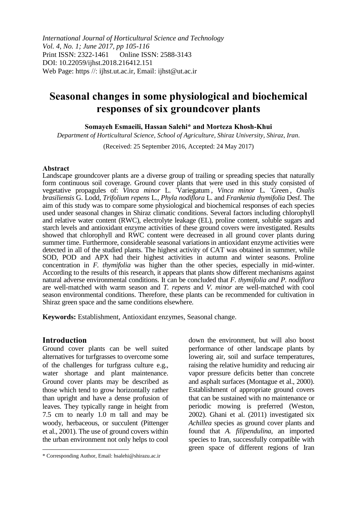*International Journal of Horticultural Science and Technology Vol. 4, No. 1; June 2017, pp 105-116* Print ISSN: 2322-1461 Online ISSN: 2588-3143 DOI: 10.22059/ijhst.2018.216412.151 Web Page: https //: ijhst.ut.ac.ir, Email: ijhst@ut.ac.ir

# **Seasonal changes in some physiological and biochemical responses of six groundcover plants**

**Somayeh Esmaeili, Hassan Salehi\* and Morteza Khosh-Khui**

*Department of Horticultural Science, School of Agriculture, Shiraz University, Shiraz, Iran.*

(Received: 25 September 2016, Accepted: 24 May 2017)

#### **Abstract**

Landscape groundcover plants are a diverse group of trailing or spreading species that naturally form continuous soil coverage. Ground cover plants that were used in this study consisted of vegetative propagules of: *Vinca minor* L. ٬Variegatum' , *Vinca minor* L*.* ٬Green' , *Oxalis brasiliensis* G. Lodd, *Trifolium repens* L*.*, *Phyla nodiflora* L. and *Frankenia thymifolia* Desf. The aim of this study was to compare some physiological and biochemical responses of each species used under seasonal changes in Shiraz climatic conditions. Several factors including chlorophyll and relative water content (RWC), electrolyte leakage (EL), proline content, soluble sugars and starch levels and antioxidant enzyme activities of these ground covers were investigated. Results showed that chlorophyll and RWC content were decreased in all ground cover plants during summer time. Furthermore, considerable seasonal variationsin antioxidant enzyme activities were detected in all of the studied plants. The highest activity of CAT was obtained in summer, while SOD, POD and APX had their highest activities in autumn and winter seasons. Proline concentration in *F. thymifolia* was higher than the other species, especially in mid-winter. According to the results of this research, it appears that plants show different mechanisms against natural adverse environmental conditions. It can be concluded that *F. thymifolia and P. nodiflora* are well-matched with warm season and *T. repens* and *V. minor* are well-matched with cool season environmental conditions. Therefore, these plants can be recommended for cultivation in Shiraz green space and the same conditions elsewhere.

**Keywords:** Establishment, Antioxidant enzymes, Seasonal change.

# **Introduction**

 $\overline{\phantom{a}}$ 

Ground cover plants can be well suited alternatives for turfgrasses to overcome some of the challenges for turfgrass culture e.g., water shortage and plant maintenance. Ground cover plants may be described as those which tend to grow horizontally rather than upright and have a dense profusion of leaves. They typically range in height from 7.5 cm to nearly 1.0 m tall and may be woody, herbaceous, or succulent (Pittenger et al., 2001). The use of ground covers within the urban environment not only helps to cool

down the environment, but will also boost performance of other landscape plants by lowering air, soil and surface temperatures, raising the relative humidity and reducing air vapor pressure deficits better than concrete and asphalt surfaces (Montague et al., 2000). Establishment of appropriate ground covers that can be sustained with no maintenance or periodic mowing is preferred (Weston, 2002). Ghani et al. (2011) investigated six *Achillea* species as ground cover plants and found that *A. filipendulina*, an imported species to Iran, successfully compatible with green space of different regions of Iran

<sup>\*</sup> Corresponding Author, Email: hsalehi@shirazu.ac.ir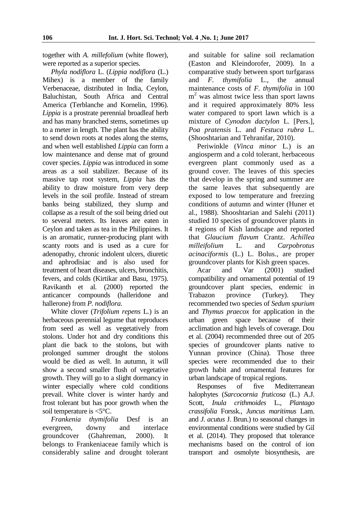together with *A. millefolium* (white flower), were reported as a superior species.

*Phyla nodiflora* L. (*Lippia nodiflora* (L.) Mihex) is a member of the family Verbenaceae, distributed in India, Ceylon, Baluchistan, South Africa and Central America (Terblanche and Kornelin, 1996). *Lippia* is a prostrate perennial broadleaf herb and has many branched stems, sometimes up to a meter in length. The plant has the ability to send down roots at nodes along the stems, and when well established *Lippia* can form a low maintenance and dense mat of ground cover species. *Lippia* was introduced in some areas as a soil stabilizer. Because of its massive tap root system, *Lippia* has the ability to draw moisture from very deep levels in the soil profile. Instead of stream banks being stabilized, they slump and collapse as a result of the soil being dried out to several meters. Its leaves are eaten in Ceylon and taken as tea in the Philippines. It is an aromatic, runner-producing plant with scanty roots and is used as a cure for adenopathy, chronic indolent ulcers, diuretic and aphrodisiac and is also used for treatment of heart diseases, ulcers, bronchitis, fevers, and colds (Kirtikar and Basu, 1975). Ravikanth et al*.* (2000) reported the anticancer compounds (halleridone and hallerone) from *P. nodiflora*.

White clover (*Trifolium repens* L*.*) is an herbaceous perennial legume that reproduces from seed as well as vegetatively from stolons. Under hot and dry conditions this plant die back to the stolons, but with prolonged summer drought the stolons would be died as well. In autumn, it will show a second smaller flush of vegetative growth. They will go to a slight dormancy in winter especially where cold conditions prevail. White clover is winter hardy and frost tolerant but has poor growth when the soil temperature is <5°C.

*Frankenia thymifolia* Desf is an evergreen, downy and interlace groundcover (Ghahreman, 2000). It belongs to Frankeniaceae family which is considerably saline and drought tolerant and suitable for saline soil reclamation (Easton and Kleindorofer, 2009). In a comparative study between sport turfgarass and *F. thymifolia* L., the annual maintenance costs of *F. thymifolia* in 100 m<sup>2</sup> was almost twice less than sport lawns and it required approximately 80% less water compared to sport lawn which is a mixture of *Cynodon dactylon* L. [Pers.], *Poa pratensis* L. and *Festuca rubra* L. (Shooshtarian and Tehranifar, 2010).

Periwinkle (*Vinca minor* L.) is an angiosperm and a cold tolerant, herbaceous evergreen plant commonly used as a ground cover. The leaves of this species that develop in the spring and summer are the same leaves that subsequently are exposed to low temperature and freezing conditions of autumn and winter (Huner et al., 1988). Shooshtarian and Salehi (2011) studied 10 species of groundcover plants in 4 regions of Kish landscape and reported that *Glaucium flavum* Crantz. *Achillea milleifolium* L. and *Carpobrotus acinaciformis* (L.) L. Bolus., are proper groundcover plants for Kish green spaces.

Acar and Var (2001) studied compatibility and ornamental potential of 19 groundcover plant species, endemic in Trabazon province (Turkey). They recommended two species of *Sedum spurium* and *Thymus praecox* for application in the urban green space because of their acclimation and high levels of coverage. Dou et al. (2004) recommended three out of 205 species of groundcover plants native to Yunnan province (China). Those three species were recommended due to their growth habit and ornamental features for urban landscape of tropical regions.

Responses of five Mediterranean halophytes (*Sarcocornia fruticosa* (L.) A.J. Scott, *Inula crithmoides* L., *Plantago crassifolia* Forssk*.*, *Juncus maritimus* Lam. and *J. acutus* J. Brun.) to seasonal changes in environmental conditions were studied by Gil et al. (2014). They proposed that tolerance mechanisms based on the control of ion transport and osmolyte biosynthesis, are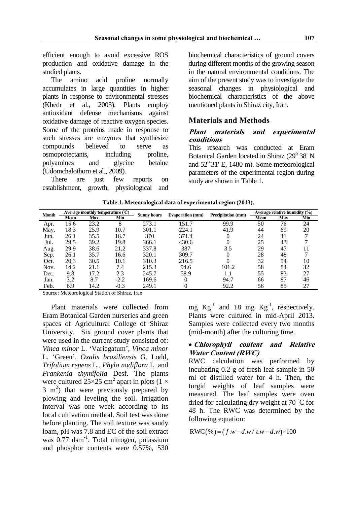efficient enough to avoid excessive ROS production and oxidative damage in the studied plants.

The amino acid proline normally accumulates in large quantities in higher plants in response to environmental stresses (Khedr et al., 2003). Plants employ antioxidant defense mechanisms against oxidative damage of reactive oxygen species. Some of the proteins made in response to such stresses are enzymes that synthesize compounds believed to serve as osmoprotectants, including proline, polyamines and glycine betaine (Udomchalothorn et al., 2009).

There are just few reports on establishment, growth, physiological and biochemical characteristics of ground covers during different months of the growing season in the natural environmental conditions. The aim of the present study was to investigate the seasonal changes in physiological and biochemical characteristics of the above mentioned plants in Shiraz city, Iran.

# **Materials and Methods**

## **Plant materials and experimental conditions**

This research was conducted at Eram Botanical Garden located in Shiraz (29° 38' N and  $52^{\circ}$  31' E, 1480 m). Some meteorological parameters of the experimental region during study are shown in Table 1.

| <b>Month</b> |      | Average monthly temperature (C) |        | <b>Sunny hours</b> | <b>Evaporation</b> (mm) | <b>Precipitation (mm)</b> |      | Average relative humidity (%) |     |
|--------------|------|---------------------------------|--------|--------------------|-------------------------|---------------------------|------|-------------------------------|-----|
|              | Mean | Max                             | Min    |                    |                         |                           | Mean | <b>Max</b>                    | Min |
| Apr.         | 15.6 | 23.2                            | 8      | 273.1              | 151.7                   | 99.9                      | 50   | 76                            | 24  |
| May.         | 18.3 | 25.9                            | 10.7   | 301.1              | 224.1                   | 41.9                      | 44   | 69                            | 20  |
| Jun.         | 26.1 | 35.5                            | 16.7   | 370                | 371.4                   | $\left( \right)$          | 24   | 41                            |     |
| Jul.         | 29.5 | 39.2                            | 19.8   | 366.1              | 430.6                   | $\left( \right)$          | 25   | 43                            |     |
| Aug.         | 29.9 | 38.6                            | 21.2   | 337.8              | 387                     | 3.5                       | 29   | 47                            | 11  |
| Sep.         | 26.1 | 35.7                            | 16.6   | 320.1              | 309.7                   | 0                         | 28   | 48                            |     |
| Oct.         | 20.3 | 30.5                            | 10.1   | 310.3              | 216.5                   |                           | 32   | 54                            | 10  |
| Nov.         | 14.2 | 21.1                            | 7.4    | 215.3              | 94.6                    | 101.2                     | 58   | 84                            | 32  |
| Dec.         | 9.8  | 17.2                            | 2.3    | 245.7              | 58.9                    | 1.1                       | 55   | 83                            | 27  |
| Jan.         | 3.2  | 8.7                             | $-2.2$ | 169.6              |                         | 94.7                      | 66   | 87                            | 46  |
| Feb.         | 6.9  | 14.2                            | $-0.3$ | 249.1              |                         | 92.2                      | 56   | 85                            | 27  |

|  |  | Table 1. Meteorological data of experimental region (2013). |  |
|--|--|-------------------------------------------------------------|--|
|  |  |                                                             |  |

Source: Meteorological Station of Shiraz, Iran

Plant materials were collected from Eram Botanical Garden nurseries and green spaces of Agricultural College of Shiraz University. Six ground cover plants that were used in the current study consisted of: *Vinca minor* L. 'Variegatum', *Vinca minor* L*.* 'Green', *Oxalis brasiliensis* G. Lodd, *Trifolium repens* L*.*, *Phyla nodiflora* L. and *Frankenia thymifolia* Desf. The plants were cultured  $25\times25$  cm<sup>2</sup> apart in plots (1  $\times$  $3 \text{ m}^2$ ) that were previously prepared by plowing and leveling the soil. Irrigation interval was one week according to its local cultivation method. Soil test was done before planting. The soil texture was sandy loam, pH was 7.8 and EC of the soil extract was 0.77 dsm<sup>-1</sup>. Total nitrogen, potassium and phosphor contents were 0.57%, 530

mg  $Kg^{-1}$  and 18 mg  $Kg^{-1}$ , respectively. Plants were cultured in mid-April 2013. Samples were collected every two months (mid-month) after the culturing time.

## **Chlorophyll content and Relative Water Content (RWC)**

RWC calculation was performed by incubating 0.2 g of fresh leaf sample in 50 ml of distilled water for 4 h. Then, the turgid weights of leaf samples were measured. The leaf samples were oven dried for calculating dry weight at 70 ◦C for 48 h. The RWC was determined by the following equation:

$$
RWC(\%)=(f.w-d.w/t.w-d.w) \times 100
$$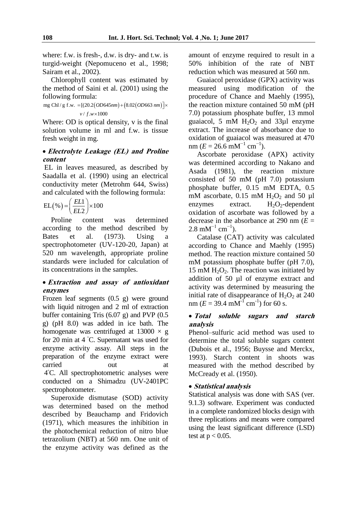where: f.w. is fresh-, d.w. is dry- and t.w. is turgid-weight (Nepomuceno et al., 1998; Sairam et al., 2002).

Chlorophyll content was estimated by the method of Saini et al. (2001) using the following formula:

following formula:<br>mg Chl / g f.w. = [(20.2 (*OD*645nm) +  $(8.02$  (*OD*663 nm)  $(20.2(OD64$ <br> $/ f.w \times 1000$ **ormula:**<br>=[(20.2(*OD*645*nm*) + (8.02(*OD*663*nm*)]×  $v/f.w \times 1000$ *v f w*

Where: OD is optical density, v is the final solution volume in ml and f.w. is tissue fresh weight in mg.

# **Electrolyte Leakage (EL) and Proline content**

EL in leaves measured, as described by Saadalla et al. (1990) using an electrical conductivity meter (Metrohm 644, Swiss) and calculated with the following formula:

$$
EL(\%){=}\left(\frac{EL1}{EL2}\right) \times 100
$$

Proline content was determined according to the method described by Bates et al. (1973). Using a spectrophotometer (UV-120-20, Japan) at 520 nm wavelength, appropriate proline standards were included for calculation of its concentrations in the samples.

#### **Extraction and assay of antioxidant enzymes**

Frozen leaf segments (0.5 g) were ground with liquid nitrogen and 2 ml of extraction buffer containing Tris (6.07 g) and PVP (0.5 g) (pH 8.0) was added in ice bath. The homogenate was centrifuged at  $13000 \times g$ for 20 min at 4 ◦C. Supernatant was used for enzyme activity assay. All steps in the preparation of the enzyme extract were carried out at 4 ◦C. All spectrophotometric analyses were conducted on a Shimadzu (UV-2401PC spectrophotometer.

Superoxide dismutase (SOD) activity was determined based on the method described by Beauchamp and Fridovich (1971), which measures the inhibition in the photochemical reduction of nitro blue tetrazolium (NBT) at 560 nm. One unit of the enzyme activity was defined as the amount of enzyme required to result in a 50% inhibition of the rate of NBT reduction which was measured at 560 nm.

Guaiacol peroxidase (GPX) activity was measured using modification of the procedure of Chance and Maehly (1995), the reaction mixture contained 50 mM (pH 7.0) potassium phosphate buffer, 13 mmol guaiacol, 5 mM  $H_2O_2$  and 33µl enzyme extract. The increase of absorbance due to oxidation of guaiacol was measured at 470  $nm (E = 26.6 \text{ mM}^{-1} \text{ cm}^{-1}).$ 

Ascorbate peroxidase (APX) activity was determined according to Nakano and Asada (1981), the reaction mixture consisted of 50 mM (pH 7.0) potassium phosphate buffer, 0.15 mM EDTA, 0.5 mM ascorbate,  $0.15$  mM  $H_2O_2$  and  $50$  µl<br>enzymes extract.  $H_2O_2$ -dependent enzymes extract.  $H_2O_2$ -dependent oxidation of ascorbate was followed by a decrease in the absorbance at 290 nm  $(E =$  $2.8 \text{ mM}^{-1} \text{ cm}^{-1}$ ).

Catalase (CAT) activity was calculated according to Chance and Maehly (1995) method. The reaction mixture contained 50 mM potassium phosphate buffer (pH 7.0), 15 mM  $H_2O_2$ . The reaction was initiated by addition of 50 µl of enzyme extract and activity was determined by measuring the initial rate of disappearance of  $H_2O_2$  at 240 nm ( $E = 39.4$  mM<sup>-1</sup> cm<sup>-1</sup>) for 60 s.

# **Total soluble sugars and starch analysis**

Phenol–sulfuric acid method was used to determine the total soluble sugars content (Dubois et al., 1956; Buysse and Merckx, 1993). Starch content in shoots was measured with the method described by McCready et al. (1950).

# **Statistical analysis**

Statistical analysis was done with SAS (ver. 9.1.3) software. Experiment was conducted in a complete randomized blocks design with three replications and means were compared using the least significant difference (LSD) test at  $p < 0.05$ .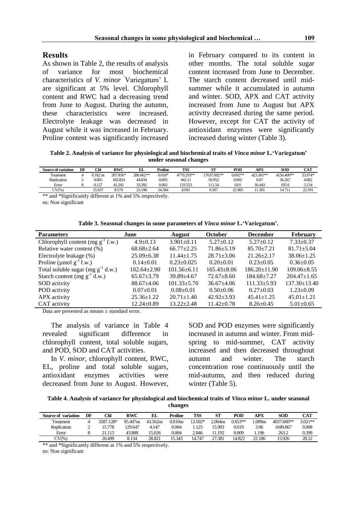#### **Results**

As shown in Table 2, the results of analysis of variance for most biochemical characteristics of *V. minor* 'Variegatum' L are significant at 5% level. Chlorophyll content and RWC had a decreasing trend from June to August. During the autumn, these characteristics were increased. Electrolyte leakage was decreased in August while it was increased in February. Proline content was significantly increased

in February compared to its content in other months. The total soluble sugar content increased from June to December. The starch content decreased until midsummer while it accumulated in autumn and winter. SOD, APX and CAT activity increased from June to August but APX activity decreased during the same period. However, except for CAT the activity of antioxidant enzymes were significantly increased during winter (Table 3).

**Table 2. Analysis of variance for physiological and biochemical traits of** *Vinca minor* **L.'Variegatum' under seasonal changes**

| Source of variation | DF | Chl        | <b>RWC</b> | EI.       | Proline  | <b>TSS</b> | ст<br>э     | POD       | APX       | <b>SOD</b> | <b>CAT</b> |
|---------------------|----|------------|------------|-----------|----------|------------|-------------|-----------|-----------|------------|------------|
| reatment            |    | $0.182$ ns | 207.836*   | 286.662** | $0.018*$ | 4770.293** | 17037.002** | $0.692**$ | 423.365** | 4156.400** | 33.974*    |
| Replication         |    | 0.065      | 183.824    | 44.834    | 0.003    | 442.11     | 50.952      | 0.002     | 0.07      | 56.267     | 4.082      |
| Error               |    | J.127      | 41.341     | 33.392    | 0.003    | 133.553    | 11.54       | 0.01      | 16.443    | 195.6      | 5.134      |
| $CV(\% )$           |    | 15.637     | 8.579      | 23.198    | 24.384   | 8.691      | 9.307       | 22.985    | 11.301    | 14.711     | 22.591     |

\*\* and \*Significantly different at 1% and 5% respectively. ns: Non significant

**Table 3. Seasonal changes in some parameters of** *Vinca minor* **L.'Variegatum'.**

| <b>Parameters</b>                      | June              | <b>August</b>     | <b>October</b>    | <b>December</b>    | February           |
|----------------------------------------|-------------------|-------------------|-------------------|--------------------|--------------------|
| Chlorophyll content (mg $g^{-1}$ f.w.) | $4.9+0.13$        | $3.901 \pm 0.11$  | $5.27 \pm 0.12$   | $5.27 \pm 0.12$    | $7.33 \pm 0.37$    |
| Relative water content (%)             | $68.68 \pm 2.64$  | $66.77 \pm 2.25$  | $71.86 \pm 5.19$  | $85.70 \pm 7.21$   | $81.71 + 5.04$     |
| Electrolyte leakage (%)                | $25.09 \pm 6.38$  | $11.44 \pm 1.75$  | $28.71 + 3.06$    | $21.26 \pm 2.17$   | $38.06 \pm 1.25$   |
| Proline ( $\mu$ mol $g^{-1}$ f.w.)     | $0.14 \pm 0.01$   | $0.23 \pm 0.025$  | $0.20+0.01$       | $0.23 \pm 0.05$    | $0.36 \pm 0.05$    |
| Total soluble sugar $(mg g^{-1} d.w.)$ | $102.64 \pm 2.90$ | $101.56 \pm 6.11$ | $165.43 \pm 8.06$ | $186.20 \pm 11.90$ | $109.06 \pm 8.55$  |
| Starch content (mg $g^{-1}$ d.w.)      | $65.67 + 3.79$    | $39.89 + 4.67$    | $72.67 \pm 8.60$  | $184.68 + 7.27$    | $204.47 \pm 1.65$  |
| SOD activity                           | $88.67 \pm 4.06$  | $101.33 + 5.70$   | $36.67 + 4.06$    | $111.33 + 5.93$    | $137.30 \pm 13.40$ |
| POD activity                           | $0.07 \pm 0.01$   | $0.08 \pm 0.01$   | $0.50 \pm 0.06$   | $0.27 \pm 0.03$    | $1.23 \pm 0.09$    |
| APX activity                           | $25.36 \pm 1.22$  | $20.71 \pm 1.40$  | $42.92 + 3.93$    | $45.41 \pm 1.25$   | $45.01 \pm 1.21$   |
| CAT activity                           | $12.24 \pm 0.89$  | $13.22 \pm 2.48$  | $11.42 \pm 0.78$  | $8.26 \pm 0.45$    | $5.01 \pm 0.65$    |

Data are presented as means ± standard error.

The analysis of variance in Table 4 revealed significant difference in chlorophyll content, total soluble sugars, and POD, SOD and CAT activities.

In *V. minor*, chlorophyll content, RWC, EL, proline and total soluble sugars, antioxidant enzymes activities were decreased from June to August. However, SOD and POD enzymes were significantly increased in autumn and winter. From midspring to mid-summer, CAT activity increased and then decreased throughout autumn and winter. The starch concentration rose continuously until the mid-autumn, and then reduced during winter (Table 5).

**Table 4. Analysis of variance for physiological and biochemical traits of** *Vinca minor* **L. under seasonal changes**

| Source of variation | DF | Chl       | RWC      | EI.      | Proline | TSS     | ST         | POD       | APX                | <b>SOD</b> | <b>CAT</b> |
|---------------------|----|-----------|----------|----------|---------|---------|------------|-----------|--------------------|------------|------------|
| <b>Treatment</b>    |    | 3587.128* | 95.407ns | 43.562ns | 0.010ns | 13.502* | $2.064$ ns | $0.653**$ | .009 <sub>ns</sub> | 4037.600** | $3.021**$  |
| Replication         |    | 5.778     | 129.647  | 4.147    | 0.004   | .125    | 15.903     | 0.019     | 3.06               | 1049.867   | 0.008      |
| Error               |    | 21.115    | 43.888   | 15.026   | 0.004   | 2.846   | 11.192     | 0.009     | .196               | 263.2      | 0.399      |
| $CV(\%$             |    | 20.499    | 8.134    | 28.821   | 5.343   | 14.747  | 27.381     | 14.822    | 22.186             | 15.926     | 20.12      |

\*\* and \*Significantly different at 1% and 5% respectively.

ns: Non significant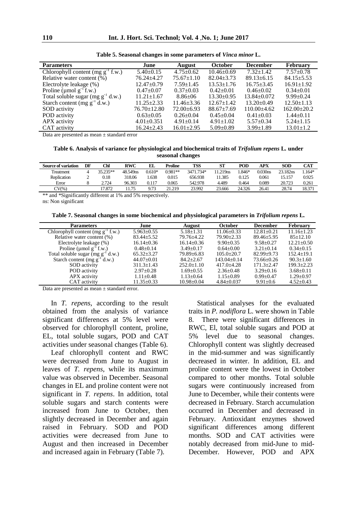| <b>Parameters</b>                      | June              | <b>August</b>    | October          | <b>December</b>   | <b>February</b>   |
|----------------------------------------|-------------------|------------------|------------------|-------------------|-------------------|
| Chlorophyll content (mg $g^{-1}$ f.w.) | $5.40\pm0.15$     | $4.75 \pm 0.62$  | $10.46 \pm 0.69$ | $7.32 \pm 1.42$   | $7.57 \pm 0.78$   |
| Relative water content (%)             | $76.24 + 4.27$    | $75.67 \pm 1.10$ | $82.04 + 3.73$   | $89.13 \pm 6.15$  | $84.15 + 5.53$    |
| Electrolyte leakage (%)                | $12.47 \pm 0.79$  | $7.59 \pm 1.45$  | $13.53 \pm 1.76$ | $16.75 + 3.45$    | $16.91 \pm 1.92$  |
| Proline ( $\mu$ mol $g^{-1}$ f.w.)     | $0.47 \pm 0.07$   | $0.37+0.03$      | $0.42 \pm 0.01$  | $0.46 \pm 0.02$   | $0.34 \pm 0.01$   |
| Total soluble sugar (mg $g^{-1}$ d.w.) | $11.21 \pm 1.67$  | $8.86 \pm 06$    | $13.30 \pm 0.95$ | $13.84 \pm 0.072$ | $9.99 \pm 0.24$   |
| Starch content (mg $g^{-1}$ d.w.)      | $11.25 \pm 2.33$  | $11.46 \pm 3.36$ | $12.67 \pm 1.42$ | $13.20 \pm 0.49$  | $12.50 \pm 1.13$  |
| SOD activity                           | $76.70 \pm 12.80$ | $72.00+6.93$     | $88.67 \pm 7.69$ | $110.00\pm4.62$   | $162.00 \pm 20.2$ |
| POD activity                           | $0.63 \pm 0.05$   | $0.26 \pm 0.04$  | $0.45 \pm 0.04$  | $0.41 + 0.03$     | $1.44 \pm 0.11$   |
| APX activity                           | $4.01 \pm 0.351$  | $4.91 \pm 0.14$  | $4.91 \pm 1.02$  | $5.57+0.34$       | $5.24 \pm 1.15$   |
| CAT activity                           | $16.24 \pm 2.43$  | $16.01 \pm 2.95$ | $5.09 \pm 0.89$  | $3.99 \pm 1.89$   | $13.01 \pm 1.2$   |
|                                        |                   |                  |                  |                   |                   |

**Table 5. Seasonal changes in some parameters of** *Vinca minor* **L.**

Data are presented as mean ± standard error

**Table 6. Analysis of variance for physiological and biochemical traits of** *Trifolium repens* **L***.* **under seasonal changes**

| <b>Source of variation</b> | DF | Chl        | <b>RWC</b> | EI.    | <b>Proline</b> | TSS       | SТ         | POD     | APX     | SOD      | CAT     |
|----------------------------|----|------------|------------|--------|----------------|-----------|------------|---------|---------|----------|---------|
| <b>Treatment</b>           |    | $35.235**$ | 48.549ns   | 0.610* | $0.981**$      | 3471.734* | $1.219$ ns | $.846*$ | 0.030ns | 23.182ns | $.164*$ |
| Replication                |    | 0.18       | 318.06     | .638   | 0.015          | 656.938   | 11.385     | 0.125   | 0.061   | 15.157   | 0.925   |
| Error                      |    | 2.724      | 96.303     | 0.117  | 0.065          | 542.978   | 4.489      | 0.464   | 0.089   | 20.723   | 0.261   |
| $\mathrm{CV}(\%$           |    | 17.872     | 1.75       | 9.73   | 21.219         | 23.992    | 23.666     | 24.326  | 26.41   | 28.74    | 18.371  |

\*\* and \*Significantly different at 1% and 5% respectively.

ns: Non significant

**Table 7. Seasonal changes in some biochemical and physiological parameters in** *Trifolium repens* **L***.*

| <b>Parameters</b>                      | June             | <b>August</b>    | <b>October</b>   | <b>December</b>  | <b>February</b>  |
|----------------------------------------|------------------|------------------|------------------|------------------|------------------|
| Chlorophyll content (mg $g^{-1}$ f.w.) | $5.963 \pm 0.55$ | $5.18 \pm 1.31$  | $11.06 \pm 0.33$ | $12.81 \pm 0.21$ | $11.16 + 1.23$   |
| Relative water content (%)             | $83.44 \pm 5.52$ | 79.76+4.22       | $79.90 + 2.33$   | $89.46 \pm 5.95$ | $85+12.10$       |
| Electrolyte leakage (%)                | $16.14 \pm 0.36$ | $16.14 \pm 0.36$ | $9.90+0.35$      | $9.58 \pm 0.27$  | $12.21 \pm 0.50$ |
| Proline ( $\mu$ mol $g^{-1}$ f.w.)     | $0.48 + 0.14$    | $3.49 + 0.17$    | $0.64 + 0.00$    | $3.21 + 0.14$    | $0.34 + 0.15$    |
| Total soluble sugar $(mg g^{-1} d.w.)$ | $65.32 + 3.27$   | $79.89 \pm 6.83$ | $105.0 + 20.7$   | $82.99 + 9.73$   | $152.4 + 19.1$   |
| Starch content (mg $g^{-1}$ d.w.)      | $44.07 \pm 0.01$ | $84.2 + 2.67$    | $143.04 + 0.14$  | $73.66 + 0.26$   | $90.3 + 1.60$    |
| SOD activity                           | $311.3 \pm 1.43$ | $252.0 \pm 1.10$ | $417.0 + 4.28$   | $171.3 + 2.47$   | $199.3 + 2.23$   |
| POD activity                           | $2.97 \pm 0.28$  | $1.69 \pm 0.55$  | $2.36 \pm 0.48$  | $3.29 + 0.16$    | $3.68 \pm 0.11$  |
| APX activity                           | $1.11 \pm 0.48$  | $1.13 \pm 0.64$  | $1.15 \pm 0.89$  | $0.99 + 0.47$    | $1.29 \pm 0.97$  |
| CAT activity                           | $11.35 \pm 0.33$ | $10.98 \pm 0.04$ | $4.84 + 0.037$   | $9.91 \pm 0.6$   | $4.52 \pm 0.43$  |
|                                        |                  |                  |                  |                  |                  |

Data are presented as mean ± standard error.

In *T. repens*, according to the result obtained from the analysis of variance significant differences at 5% level were observed for chlorophyll content, proline, EL, total soluble sugars, POD and CAT activities under seasonal changes (Table 6).

Leaf chlorophyll content and RWC were decreased from June to August in leaves of *T. repens*, while its maximum value was observed in December. Seasonal changes in EL and proline content were not significant in *T. repens*. In addition, total soluble sugars and starch contents were increased from June to October, then slightly decreased in December and again raised in February. SOD and POD activities were decreased from June to August and then increased in December and increased again in February (Table 7).

Statistical analyses for the evaluated traits in *P. nodiflora* L. were shown in Table 8. There were significant differences in RWC, El, total soluble sugars and POD at 5% level due to seasonal changes. Chlorophyll content was slightly decreased in the mid-summer and was significantly decreased in winter. In addition, EL and proline content were the lowest in October compared to other months. Total soluble sugars were continuously increased from June to December, while their contents were decreased in February. Starch accumulation occurred in December and decreased in February. Antioxidant enzymes showed significant differences among different months. SOD and CAT activities were notably decreased from mid-June to mid-December. However, POD and APX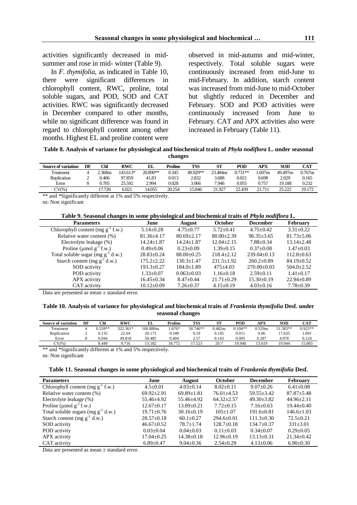activities significantly decreased in mid-

summer and rose in mid- winter (Table 9).

In *F. thymifolia*, as indicated in Table 10, there were significant differences in chlorophyll content, RWC, proline, total soluble sugars, and POD, SOD and CAT activities. RWC was significantly decreased in December compared to other months, while no significant difference was found in regard to chlorophyll content among other months. Highest EL and proline content were observed in mid-autumn and mid-winter, respectively. Total soluble sugars were continuously increased from mid-June to mid-February. In addition, starch content was increased from mid-June to mid-October but slightly reduced in December and February. SOD and POD activities were continuously increased from June to February. CAT and APX activities also were increased in February (Table 11).

**Table 8. Analysis of variance for physiological and biochemical traits of** *Phyla nodiflora* **L. under seasonal changes**

| <b>Source of variation</b> | DF | °hl             | RWC      | EL       | Proline | TSS      | SΊ       | POD       | APX                | SOD      | CAT        |
|----------------------------|----|-----------------|----------|----------|---------|----------|----------|-----------|--------------------|----------|------------|
| Treatment                  |    | $\degree$ 368ns | 143.613* | 20.890** | 0.345   | 49.929** | 23.484ns | $0.731**$ | .607 <sub>ns</sub> | 49.497ns | $0.767$ ns |
| Replication                |    | 0.406           | 97.859   | 41.83    | 0.013   | 2.832    | 3.688    | 0.021     | 0.698              | 2.029    | 0.165      |
| Error                      |    | .705            | 25.592   | 2.994    | 0.028   | 3.066    | 7.946    | 0.055     | 0.757              | 19.188   | 0.232      |
| $CV\%$                     |    | 17.726          | 6.021    | 14.055   | 20.254  | 15.846   | 21.927   | 22.439    | 21.711             | 25.222   | 19.172     |

\*\* and \*Significantly different at 1% and 5% respectively.

ns: Non significant

**Table 9. Seasonal changes in some physiological and biochemical traits of** *Phyla nodiflora* **L***.*

| <b>Parameters</b>                      | June             | <b>August</b>    | <b>October</b>  | <b>December</b> | <b>February</b>  |
|----------------------------------------|------------------|------------------|-----------------|-----------------|------------------|
| Chlorophyll content (mg $g^{-1}$ f.w.) | $5.14 + 0.28$    | $4.75 \pm 0.77$  | $5.72+0.41$     | $4.75 + 0.42$   | $3.31 + 0.22$    |
| Relative water content (%)             | $81.36 \pm 4.17$ | $80.69 + 2.17$   | $80.00+2.39$    | $96.35 + 3.65$  | $81.73 \pm 5.06$ |
| Electrolyte leakage (%)                | $14.24 \pm 1.87$ | $14.24 \pm 1.87$ | $12.04 + 2.15$  | $7.88 + 0.34$   | $13.14 \pm 2.48$ |
| Proline ( $\mu$ mol $g^{-1}$ f.w.)     | $0.49 + 0.06$    | $0.23+0.09$      | $1.39 + 0.15$   | $0.37+0.08$     | $1.47 + 0.03$    |
| Total soluble sugar (mg $g^{-1}$ d.w.) | $28.83+0.24$     | $88.00 \pm 0.25$ | $218.4 + 2.12$  | $239.04+0.13$   | $112.8 \pm 0.63$ |
| Starch content (mg $g^{-1}$ d.w.)      | $175.2 + 2.22$   | $130.3 + 1.47$   | $231.5+1.92$    | $260.2+0.89$    | $84.19 \pm 0.52$ |
| SOD activity                           | $193.3+0.27$     | $184.0 + 1.89$   | $475 + 4.03$    | $270.00+0.03$   | $504.0 + 2.52$   |
| POD activity                           | $1.33 \pm 0.07$  | $0.063 + 0.03$   | $1.16 \pm 0.18$ | $2.59+0.11$     | $1.41 \pm 0.17$  |
| APX activity                           | $16.45 + 0.34$   | $8.47+0.44$      | $21.71 + 0.29$  | $15.30+0.19$    | $22.94 + 0.89$   |
| CAT activity                           | $10.12 \pm 0.09$ | $7.26 \pm 0.37$  | $4.15 \pm 0.19$ | $4.03 \pm 0.16$ | $7.78 \pm 0.39$  |

Data are presented as mean ± standard error.

#### **Table 10. Analysis of variance for physiological and biochemical traits of** *Frankenia thymifolia* **Desf***.* **under seasonal changes**

| <b>Source of variation</b> | DF | Chl       | <b>RWC</b> | EL        | Proline | <b>TSS</b> | ST      | POD       | APX     | SOD      | CAT       |
|----------------------------|----|-----------|------------|-----------|---------|------------|---------|-----------|---------|----------|-----------|
| Treatment                  |    | $0.559**$ | 322.361*   | 160.888ns | $.676*$ | 50.746**   | 0.482ns | $0.104**$ | 0.529ns | 51.583** | $0.923**$ |
| Replication                | ∸  | 0.135     | 22.64      | 20.171    | 0.349   | 0.19       | 0.145   | 0.011     | 0.06    | 17.635   | .091      |
| Error                      |    | 0.044     | 49.818     | 50.485    | 0.404   | 2.57       | 0.143   | 0.005     | 0.287   | 4.976    | 0.124     |
| CV(% )                     |    | 8.449     | 9.716      | 3.182     | 18.772  | 17.523     | 20.7    | 19.948    | 13.619  | 19.944   | 15.083    |

\*\* and \*Significantly different at 1% and 5% respectively.

ns: Non significant

| Table 11. Seasonal changes in some physiological and biochemical traits of Frankenia thymifolia Desf. |  |  |  |  |  |
|-------------------------------------------------------------------------------------------------------|--|--|--|--|--|

| <b>Parameters</b>                       | June             | <b>August</b>    | <b>October</b>   | <b>December</b>  | February         |  |
|-----------------------------------------|------------------|------------------|------------------|------------------|------------------|--|
| Chlorophyll content (mg $g^{-1}$ f.w.)  | $4.5 \pm 0.01$   | $4.03+0.14$      | $8.02+0.11$      | $9.07+0.26$      | $6.41 \pm 0.08$  |  |
| Relative water content (%)              | $69.92 \pm 2.91$ | $69.89 \pm 1.81$ | $76.01 + 4.53$   | $59.55 + 3.42$   | $87.87 + 5.48$   |  |
| Electrolyte leakage (%)                 | $55.46 \pm 4.92$ | 55.46+4.92       | $64.32 + 2.57$   | $49.30 + 3.82$   | $44.96 \pm 2.11$ |  |
| Proline ( $\mu$ mol $g^{-1}$ f.w.)      | $12.67 \pm 0.17$ | $13.89 \pm 0.21$ | $7.72 \pm 0.15$  | $7.16 \pm 0.63$  | $19.44 \pm 0.40$ |  |
| Total soluble sugars $(mg g^{-1} d.w.)$ | $19.71 + 0.76$   | $30.16 \pm 0.19$ | $105+1.07$       | $191.6 + 0.81$   | $146.6 + 1.03$   |  |
| Starch content (mg $g^{-1}$ d.w.)       | $28.57 \pm 0.18$ | $60.1 \pm 0.27$  | $294.6 \pm 0.01$ | $111.3 \pm 0.30$ | $72.5 + 0.21$    |  |
| SOD activity                            | $46.67 \pm 0.52$ | $78.7 + 1.74$    | $128.7+0.18$     | $134.7+0.37$     | $331\pm3.01$     |  |
| POD activity                            | $0.03+0.04$      | $0.04 + 0.03$    | $0.11 + 0.03$    | $0.34 + 0.07$    | $0.29 + 0.05$    |  |
| APX activity                            | $17.04 \pm 0.25$ | $14.38 \pm 0.18$ | $12.96 \pm 0.19$ | $13.13 \pm 0.31$ | $21.34 \pm 0.42$ |  |
| CAT activity                            | $6.89 + 0.47$    | $9.04 + 0.36$    | $2.54 \pm 0.29$  | $4.13 \pm 0.06$  | $6.90 \pm 0.30$  |  |

Data are presented as mean ± standard error.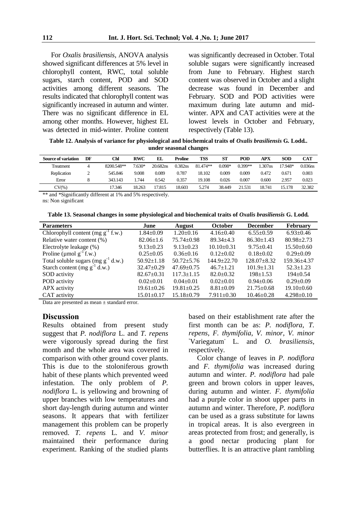For *Oxalis brasiliensis*, ANOVA analysis showed significant differences at 5% level in chlorophyll content, RWC, total soluble sugars, starch content, POD and SOD activities among different seasons. The results indicated that chlorophyll content was significantly increased in autumn and winter. There was no significant difference in EL among other months. However, highest EL was detected in mid-winter. Proline content was significantly decreased in October. Total soluble sugars were significantly increased from June to February. Highest starch content was observed in October and a slight decrease was found in December and February. SOD and POD activities were maximum during late autumn and midwinter. APX and CAT activities were at the lowest levels in October and February, respectively (Table 13).

**Table 12. Analysis of variance for physiological and biochemical traits of** *Oxalis brasiliensis* **G***.* **Lodd***..*  **under seasonal changes**

| <b>Source of variation</b> | DF | Chl        | <b>RWC</b> | EL       | Proline | TSS      | <b>ST</b> | POD       | APX    | <b>SOD</b> | <b>CAT</b> |
|----------------------------|----|------------|------------|----------|---------|----------|-----------|-----------|--------|------------|------------|
| Treatment                  |    | 8200.548** | $7.630*$   | 20.682ns | 0.382ns | 81.474** | $0.098*$  | $0.399**$ | .307ns | 17.948*    | $0.036$ ns |
| Replication                | ∠  | 545.846    | 9.008      | 0.089    | 0.787   | 18.102   | 0.009     | 0.009     | 0.472  | 0.671      | 0.003      |
| Error                      |    | 343.143    | .744       | 0.542    | 0.357   | 19.108   | 0.026     | 0.007     | 0.600  | 2.957      | 0.023      |
| $CV(\%)$                   |    | 17.346     | 18.263     | 17.815   | 18.603  | 5.274    | 38.449    | 21.531    | 18.741 | 15.178     | 32.382     |

\*\* and \*Significantly different at 1% and 5% respectively.

ns: Non significant

**Table 13. Seasonal changes in some physiological and biochemical traits of** *Oxalis brasiliensis* **G. Lodd***.*

| <b>Parameters</b>                       | June             | <b>August</b>    | <b>October</b>   | <b>December</b>   | <b>February</b>  |
|-----------------------------------------|------------------|------------------|------------------|-------------------|------------------|
| Chlorophyll content (mg $g^{-1}$ f.w.)  | $1.84 + 0.09$    | $1.20 \pm 0.16$  | $4.16\pm0.40$    | $6.55+0.59$       | $6.93 \pm 0.46$  |
| Relative water content (%)              | $82.06 \pm 1.6$  | $75.74 \pm 0.98$ | $89.34 + 4.3$    | $86.30 \pm 1.43$  | $80.98 \pm 2.73$ |
| Electrolyte leakage (%)                 | $9.13 \pm 0.23$  | $9.13 \pm 0.23$  | $10.10 \pm 0.31$ | $9.75 \pm 0.41$   | $15.50\pm0.60$   |
| Proline ( $\mu$ mol $g^{-1}$ f.w.)      | $0.25 \pm 0.05$  | $0.36 \pm 0.16$  | $0.12 \pm 0.02$  | $0.18+0.02$       | $0.29 \pm 0.09$  |
| Total soluble sugars (mg $g^{-1}$ d.w.) | $50.92 \pm 1.18$ | $50.72 + 5.76$   | $144.9 + 22.70$  | $128.07 \pm 8.32$ | $159.36 + 4.37$  |
| Starch content (mg $g^{-1}$ d.w.)       | $32.47+0.29$     | $47.69 \pm 0.75$ | $46.7 \pm 1.21$  | $101.9 \pm 1.31$  | $52.3 \pm 1.23$  |
| SOD activity                            | $82.67 \pm 0.31$ | $117.3 \pm 1.15$ | $82.0 \pm 0.32$  | $198 \pm 1.53$    | $194+0.54$       |
| POD activity                            | $0.02+0.01$      | $0.04 \pm 0.01$  | $0.02+0.01$      | $0.94 \pm 0.06$   | $0.29 \pm 0.09$  |
| APX activity                            | $19.61 \pm 0.26$ | $19.81 \pm 0.25$ | $8.81 \pm 0.09$  | $21.75 \pm 0.68$  | $19.10+0.60$     |
| CAT activity                            | 15.01±0.17       | $15.18 \pm 0.79$ | $7.911 \pm 0.30$ | $10.46 \pm 0.28$  | $4.298 \pm 0.10$ |

Data are presented as mean  $\pm$  standard error.

#### **Discussion**

Results obtained from present study suggest that *P. nodiflora* L. and *T. repens* were vigorously spread during the first month and the whole area was covered in comparison with other ground cover plants. This is due to the stoloniferous growth habit of these plants which prevented weed infestation. The only problem of *P. nodiflora* L*.* is yellowing and browning of upper branches with low temperatures and short day-length during autumn and winter seasons. It appears that with fertilizer management this problem can be properly removed. *T. repens* L*.* and *V. minor*  maintained their performance during experiment. Ranking of the studied plants based on their establishment rate after the first month can be as: *P. nodiflora*, *T. repens*, *F. thymifolia*, *V. minor*, *V. minor* ٬Variegatum٫ L. and *O. brasiliensis*, respectively*.*

Color change of leaves in *P. nodiflora* and *F. thymifolia* was increased during autumn and winter. *P. nodiflora* had pale green and brown colors in upper leaves, during autumn and winter. *F. thymifolia* had a purple color in shoot upper parts in autumn and winter. Therefore, *P. nodiflora* can be used as a grass substitute for lawns in tropical areas. It is also evergreen in areas protected from frost; and generally, is a good nectar producing plant for butterflies. It is an attractive plant rambling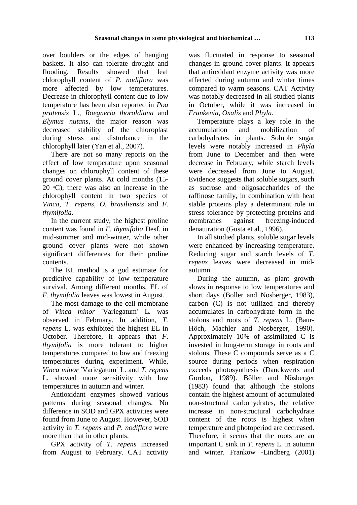over boulders or the edges of hanging baskets. It also can tolerate drought and flooding. Results showed that leaf chlorophyll content of *P. nodiflora* was more affected by low temperatures. Decrease in chlorophyll content due to low temperature has been also reported in *Poa pratensis* L., *Roegneria thoroldiana* and *Elymus nutans*, the major reason was decreased stability of the chloroplast during stress and disturbance in the chlorophyll later (Yan et al., 2007).

There are not so many reports on the effect of low temperature upon seasonal changes on chlorophyll content of these ground cover plants. At cold months (15- 20  $\degree$ C), there was also an increase in the chlorophyll content in two species of *Vinca*, *T*. *repens*, *O. brasiliensis* and *F. thymifolia*.

In the current study, the highest proline content was found in *F. thymifolia* Desf. in mid-summer and mid-winter, while other ground cover plants were not shown significant differences for their proline contents.

The EL method is a god estimate for predictive capability of low temperature survival. Among different months, EL of *F*. *thymifolia* leaves was lowest in August.

The most damage to the cell membrane of *Vinca minor* 'Variegatum' L. was observed in February. In addition, *T. repens* L. was exhibited the highest EL in October. Therefore, it appears that *F*. *thymifolia* is more tolerant to higher temperatures compared to low and freezing temperatures during experiment. While, *Vinca minor* ٬Variegatum٫ L. and *T. repens* L. showed more sensitivity with low temperatures in autumn and winter.

Antioxidant enzymes showed various patterns during seasonal changes. No difference in SOD and GPX activities were found from June to August. However, SOD activity in *T. repens* and *P. nodiflora* were more than that in other plants.

GPX activity of *T. repens* increased from August to February. CAT activity was fluctuated in response to seasonal changes in ground cover plants. It appears that antioxidant enzyme activity was more affected during autumn and winter times compared to warm seasons. CAT Activity was notably decreased in all studied plants in October, while it was increased in *Frankenia*, *Oxalis* and *Phyla*.

Temperature plays a key role in the accumulation and mobilization of carbohydrates in plants. Soluble sugar levels were notably increased in *Phyla* from June to December and then were decrease in February, while starch levels were decreased from June to August. Evidence suggests that soluble sugars, such as sucrose and oligosaccharides of the raffinose family, in combination with heat stable proteins play a determinant role in stress tolerance by protecting proteins and membranes against freezing-induced denaturation (Gusta et al., 1996).

In all studied plants, soluble sugar levels were enhanced by increasing temperature. Reducing sugar and starch levels of *T. repens* leaves were decreased in midautumn.

During the autumn, as plant growth slows in response to low temperatures and short days (Boller and Nosberger, 1983), carbon (C) is not utilized and thereby accumulates in carbohydrate form in the stolons and roots of *T. repens* L. (Baur-Höch, Machler and Nosberger, 1990). Approximately 10% of assimilated C is invested in long-term storage in roots and stolons. These C compounds serve as a C source during periods when respiration exceeds photosynthesis (Danckwerts and Gordon, 1989). Bӧller and Nӧsberger (1983) found that although the stolons contain the highest amount of accumulated non-structural carbohydrates, the relative increase in non-structural carbohydrate content of the roots is highest when temperature and photoperiod are decreased. Therefore, it seems that the roots are an important C sink in *T. repens* L. in autumn and winter. Frankow -Lindberg (2001)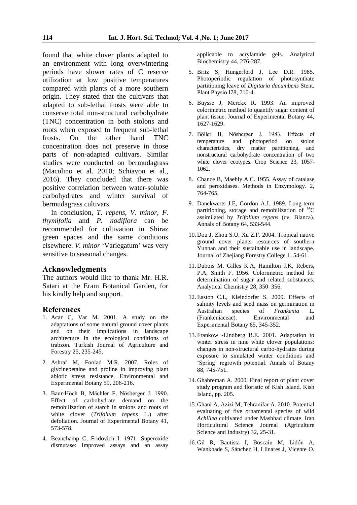found that white clover plants adapted to an environment with long overwintering periods have slower rates of C reserve utilization at low positive temperatures compared with plants of a more southern origin. They stated that the cultivars that adapted to sub-lethal frosts were able to conserve total non-structural carbohydrate (TNC) concentration in both stolons and roots when exposed to frequent sub-lethal frosts. On the other hand TNC concentration does not preserve in those parts of non-adapted cultivars. Similar studies were conducted on bermudagrass (Macolino et al. 2010; Schiavon et al., 2016). They concluded that there was positive correlation between water-soluble carbohydrates and winter survival of bermudagrass cultivars.

In conclusion, *T. repens*, *V. minor*, *F. thymifolia* and *P. nodiflora* can be recommended for cultivation in Shiraz green spaces and the same conditions elsewhere. *V. minor* 'Variegatum' was very sensitive to seasonal changes.

#### **Acknowledgments**

The authors would like to thank Mr. H.R. Satari at the Eram Botanical Garden, for his kindly help and support.

#### **References**

- 1. Acar C, Var M. 2001. A study on the adaptations of some natural ground cover plants and on their implications in landscape architecture in the ecological conditions of trabzon. Turkish Journal of Agriculture and Forestry 25, 235-245.
- 2. Ashraf M, Foolad M.R. 2007. Roles of glycinebetaine and proline in improving plant abiotic stress resistance. Environmental and Experimental Botany 59, 206-216.
- 3. Baur-Hӧch B, Mächler F, Nӧsberger J. 1990. Effect of carbohydrate demand on the remobilization of starch in stolons and roots of white clover (*Trifolium repens* L.) after defoliation. Journal of Experimental Botany 41, 573-578.
- 4. Beauchamp C, Fridovich I. 1971. Superoxide dismutase: Improved assays and an assay

applicable to acrylamide gels. Analytical Biochemistry 44, 276-287.

- 5. Britz S, Hungerford J, Lee D.R. 1985. Photoperiodic regulation of photosynthate partitioning leave of *Digitaria dacumbens* Stent. Plant Physio l78, 710-4.
- 6. Buysse J, Merckx R. 1993. An improved colorimetric method to quantify sugar content of plant tissue. Journal of Experimental Botany 44, 1627-1629.
- 7. Bӧller B, Nӧsberger J. 1983. Effects of temperature and photoperiod on stolon characteristics, dry matter partitioning, and nonstructural carbohydrate concentration of two white clover ecotypes. Crop Science 23, 1057- 1062.
- 8. Chance B, Maehly A.C. 1955. Assay of catalase and peroxidases. Methods in Enzymology. 2, 764-765.
- 9. Danckwerts J.E, Gordon A.J. 1989. Long-term partitioning, storage and remobilization of  ${}^{14}C$ assimilated by *Trifolium repens* (cv. Blanca). Annals of Botany 64, 533-544.
- 10. Dou J, Zhou S.U, Xu Z.F. 2004. Tropical native ground cover plants resources of southern Yunnan and their sustainable use in landscape. Journal of Zhejiang Forestry College 1, 54-61.
- 11. Dubois M, Gilles K.A, Hamilton J.K, Rebers, P.A, Smith F. 1956. Colorimetric method for determination of sugar and related substances. Analytical Chemistry 28, 350–356.
- 12. Easton C.L, Kleindorfer S. 2009. Effects of salinity levels and seed mass on germination in Australian species of *Frankenia* L. (Frankeniaceae). Environmental and Experimental Botany 65, 345-352.
- 13. Frankow -Lindberg B.E. 2001. Adaptation to winter stress in nine white clover populations: changes in non-structural carbo-hydrates during exposure to simulated winter conditions and 'Spring' regrowth potential. Annals of Botany 88, 745-751.
- 14. Ghahreman A. 2000. Final report of plant cover study program and floristic of Kish Island. Kish Island, pp. 205.
- 15. Ghani A, Azizi M, Tehranifar A. 2010. Potential evaluating of five ornamental species of wild *Achillea* cultivated under Mashhad climate. Iran Horticultural Science Journal (Agriculture Science and Industry) 32, 25-31.
- 16. Gil R, Bautista I, Boscaiu M, Lidón A, Wankhade S, Sánchez H, Llinares J, Vicente O.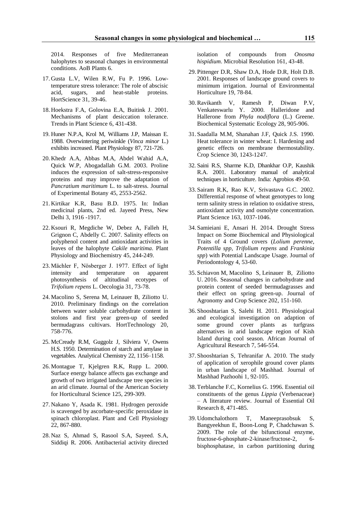2014. Responses of five Mediterranean halophytes to seasonal changes in environmental conditions. AoB Plants 6.

- 17. Gusta L.V, Wilen R.W, Fu P. 1996. Lowtemperature stress tolerance: The role of abscisic acid, sugars, and heat-stable proteins. HortScience 31, 39-46.
- 18. Hoekstra F.A, Golovina E.A, Buitink J. 2001. Mechanisms of plant desiccation tolerance. Trends in Plant Science 6, 431-438.
- 19. Huner N.P.A, Krol M, Williams J.P, Maissan E. 1988. Overwintering periwinkle (*Vinca minor* L.) exhibits increased. Plant Physiology 87, 721-726.
- 20. Khedr A.A, Abbas M.A, Abdel Wahid A.A, Quick W.P, Abogadallah G.M. 2003. Proline induces the expression of salt-stress-responsive proteins and may improve the adaptation of *Pancratium maritimum* L. to salt-stress. Journal of Experimental Botany 45, 2553-2562.
- 21. Kirtikar K.R, Basu B.D. 1975. In: Indian medicinal plants, 2nd ed. Jayeed Press, New Delhi 3, 1916 -1917.
- 22. Ksouri R, Megdiche W, Debez A, Falleh H, Grignon C, Abdelly C. 2007. Salinity effects on polyphenol content and antioxidant activities in leaves of the halophyte *Cakile maritima*. Plant Physiology and Biochemistry 45, 244-249.
- 23. Mächler F, Nӧsberger J. 1977. Effect of light intensity and temperature on apparent photosynthesis of altitudinal ecotypes of *Trifolium repens* L. Oecologia 31, 73-78.
- 24. Macolino S, Serena M, Leinauer B, Ziliotto U. 2010. Preliminary findings on the correlation between water soluble carbohydrate content in stolons and first year green-up of seeded bermudagrass cultivars. HortTechnology 20, 758-776.
- 25. McCready R.M, Guggolz J, Silviera V, Owens H.S. 1950. Determination of starch and amylase in vegetables. Analytical Chemistry 22, 1156–1158.
- 26. Montague T, Kjelgren R.K, Rupp L. 2000. Surface energy balance affects gas exchange and growth of two irrigated landscape tree species in an arid climate. Journal of the American Society for Horticultural Science 125, 299-309.
- 27. Nakano Y, Asada K. 1981. Hydrogen peroxide is scavenged by ascorbate-specific peroxidase in spinach chloroplast. Plant and Cell Physiology 22, 867-880.
- 28. Naz S, Ahmad S, Rasool S.A, Sayeed. S.A, Siddiqi R. 2006. Antibacterial activity directed

isolation of compounds from *Onosma hispidium*. Microbial Resolution 161, 43-48.

- 29. Pittenger D.R, Shaw D.A, Hode D.R, Holt D.B. 2001. Responses of landscape ground covers to minimum irrigation. Journal of Environmental Horticulture 19, 78-84.
- 30.Ravikanth V, Ramesh P, Diwan P.V, Venkateswarlu Y. 2000. Halleridone and Hallerone from *Phyla nodiflora* (L.) Greene. Biochemical Systematic Ecology 28, 905-906.
- 31. Saadalla M.M, Shanahan J.F, Quick J.S. 1990. Heat tolerance in winter wheat: I. Hardening and genetic effects on membrane thermostability. Crop Science 30, 1243-1247.
- 32. Saini R.S, Sharme K.D, Dhankhar O.P, Kaushik R.A. 2001. Laboratory manual of analytical techniques in horticulture. India: Agrobios 49-50.
- 33. Sairam R.K, Rao K.V, Srivastava G.C. 2002. Differential response of wheat genotypes to long term salinity stress in relation to oxidative stress, antioxidant activity and osmolyte concentration. Plant Science 163, 1037-1046.
- 34. Samieiani E, Ansari H. 2014. Drought Stress Impact on Some Biochemical and Physiological Traits of 4 Ground covers (*Lolium perenne*, *Potentilla spp*, *Trifolium repens* and *Frankinia spp*) with Potential Landscape Usage. Journal of Periodontology 4, 53-60.
- 35. Schiavon M, Macolino S, Leinauer B, Ziliotto U. 2016. Seasonal changes in carbohydrate and protein content of seeded bermudagrasses and their effect on spring green-up. Journal of Agronomy and Crop Science 202, 151-160.
- 36. Shooshtarian S, Salehi H. 2011. Physiological and ecological investigation on adaption of some ground cover plants as turfgrass alternatives in arid landscape region of Kish Island during cool season. African Journal of Agricultural Research 7, 546-554.
- 37. Shooshtarian S, Tehranifar A. 2010. The study of application of xerophile ground cover plants in urban landscape of Mashhad. Journal of Mashhad Pazhoohi 1, 92-105.
- 38. Terblanche F.C, Kornelius G. 1996. Essential oil constituents of the genus *Lippia* (Verbenaceae) – A literature review. Journal of Essential Oil Research 8, 471-485.
- 39. Udomchalothorn T, Maneeprasobsuk S, Bangyeekhun E, Boon-Long P, Chadchawan S. 2009. The role of the bifunctional enzyme, fructose-6-phosphate-2-kinase/fructose-2, 6 bisphosphatase, in carbon partitioning during